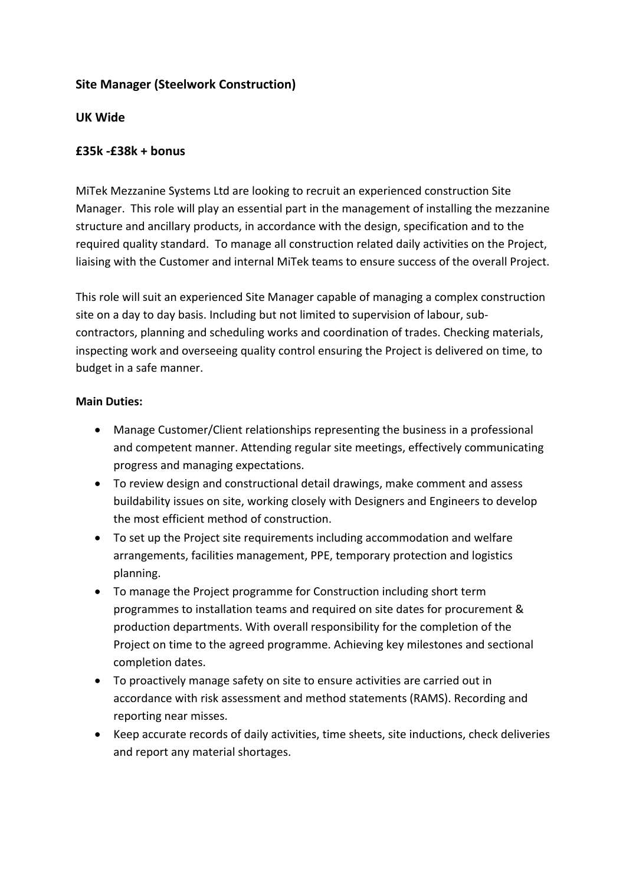## **Site Manager (Steelwork Construction)**

## **UK Wide**

## **£35k ‐£38k + bonus**

MiTek Mezzanine Systems Ltd are looking to recruit an experienced construction Site Manager. This role will play an essential part in the management of installing the mezzanine structure and ancillary products, in accordance with the design, specification and to the required quality standard. To manage all construction related daily activities on the Project, liaising with the Customer and internal MiTek teams to ensure success of the overall Project.

This role will suit an experienced Site Manager capable of managing a complex construction site on a day to day basis. Including but not limited to supervision of labour, sub‐ contractors, planning and scheduling works and coordination of trades. Checking materials, inspecting work and overseeing quality control ensuring the Project is delivered on time, to budget in a safe manner.

## **Main Duties:**

- Manage Customer/Client relationships representing the business in a professional and competent manner. Attending regular site meetings, effectively communicating progress and managing expectations.
- To review design and constructional detail drawings, make comment and assess buildability issues on site, working closely with Designers and Engineers to develop the most efficient method of construction.
- To set up the Project site requirements including accommodation and welfare arrangements, facilities management, PPE, temporary protection and logistics planning.
- To manage the Project programme for Construction including short term programmes to installation teams and required on site dates for procurement & production departments. With overall responsibility for the completion of the Project on time to the agreed programme. Achieving key milestones and sectional completion dates.
- To proactively manage safety on site to ensure activities are carried out in accordance with risk assessment and method statements (RAMS). Recording and reporting near misses.
- Keep accurate records of daily activities, time sheets, site inductions, check deliveries and report any material shortages.